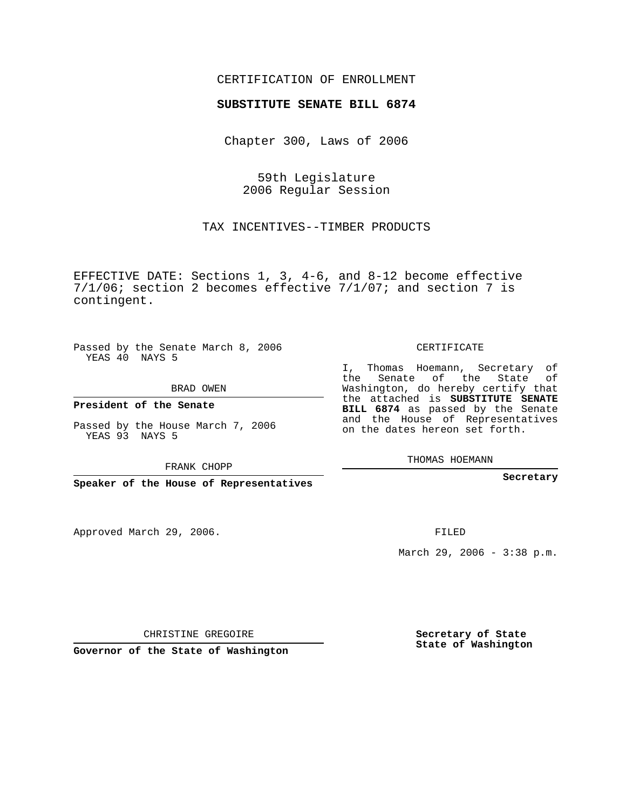## CERTIFICATION OF ENROLLMENT

#### **SUBSTITUTE SENATE BILL 6874**

Chapter 300, Laws of 2006

59th Legislature 2006 Regular Session

TAX INCENTIVES--TIMBER PRODUCTS

EFFECTIVE DATE: Sections 1, 3, 4-6, and 8-12 become effective 7/1/06; section 2 becomes effective 7/1/07; and section 7 is contingent.

Passed by the Senate March 8, 2006 YEAS 40 NAYS 5

BRAD OWEN

**President of the Senate**

Passed by the House March 7, 2006 YEAS 93 NAYS 5

FRANK CHOPP

**Speaker of the House of Representatives**

Approved March 29, 2006.

CERTIFICATE

I, Thomas Hoemann, Secretary of the Senate of the State of Washington, do hereby certify that the attached is **SUBSTITUTE SENATE BILL 6874** as passed by the Senate and the House of Representatives on the dates hereon set forth.

THOMAS HOEMANN

**Secretary**

FILED

March 29, 2006 - 3:38 p.m.

CHRISTINE GREGOIRE

**Governor of the State of Washington**

**Secretary of State State of Washington**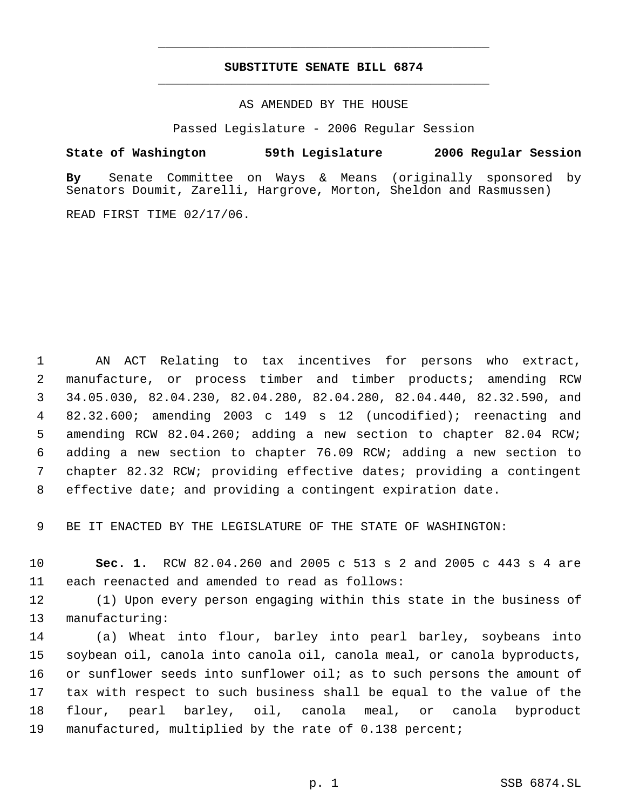# **SUBSTITUTE SENATE BILL 6874** \_\_\_\_\_\_\_\_\_\_\_\_\_\_\_\_\_\_\_\_\_\_\_\_\_\_\_\_\_\_\_\_\_\_\_\_\_\_\_\_\_\_\_\_\_

\_\_\_\_\_\_\_\_\_\_\_\_\_\_\_\_\_\_\_\_\_\_\_\_\_\_\_\_\_\_\_\_\_\_\_\_\_\_\_\_\_\_\_\_\_

AS AMENDED BY THE HOUSE

Passed Legislature - 2006 Regular Session

## **State of Washington 59th Legislature 2006 Regular Session**

**By** Senate Committee on Ways & Means (originally sponsored by Senators Doumit, Zarelli, Hargrove, Morton, Sheldon and Rasmussen)

READ FIRST TIME 02/17/06.

 AN ACT Relating to tax incentives for persons who extract, manufacture, or process timber and timber products; amending RCW 34.05.030, 82.04.230, 82.04.280, 82.04.280, 82.04.440, 82.32.590, and 82.32.600; amending 2003 c 149 s 12 (uncodified); reenacting and amending RCW 82.04.260; adding a new section to chapter 82.04 RCW; adding a new section to chapter 76.09 RCW; adding a new section to chapter 82.32 RCW; providing effective dates; providing a contingent effective date; and providing a contingent expiration date.

BE IT ENACTED BY THE LEGISLATURE OF THE STATE OF WASHINGTON:

 **Sec. 1.** RCW 82.04.260 and 2005 c 513 s 2 and 2005 c 443 s 4 are each reenacted and amended to read as follows:

 (1) Upon every person engaging within this state in the business of manufacturing:

 (a) Wheat into flour, barley into pearl barley, soybeans into soybean oil, canola into canola oil, canola meal, or canola byproducts, or sunflower seeds into sunflower oil; as to such persons the amount of tax with respect to such business shall be equal to the value of the flour, pearl barley, oil, canola meal, or canola byproduct manufactured, multiplied by the rate of 0.138 percent;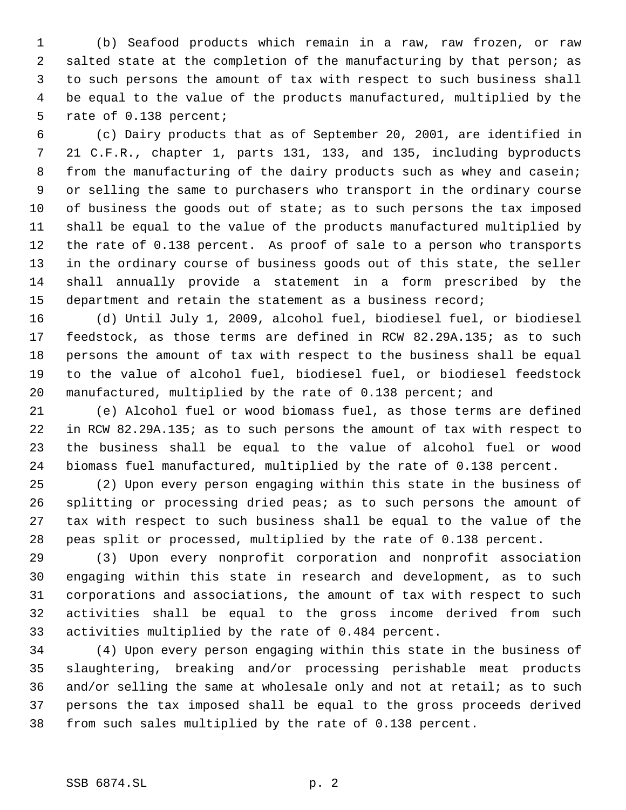(b) Seafood products which remain in a raw, raw frozen, or raw salted state at the completion of the manufacturing by that person; as to such persons the amount of tax with respect to such business shall be equal to the value of the products manufactured, multiplied by the rate of 0.138 percent;

 (c) Dairy products that as of September 20, 2001, are identified in 21 C.F.R., chapter 1, parts 131, 133, and 135, including byproducts 8 from the manufacturing of the dairy products such as whey and casein; or selling the same to purchasers who transport in the ordinary course of business the goods out of state; as to such persons the tax imposed shall be equal to the value of the products manufactured multiplied by the rate of 0.138 percent. As proof of sale to a person who transports in the ordinary course of business goods out of this state, the seller shall annually provide a statement in a form prescribed by the 15 department and retain the statement as a business record;

 (d) Until July 1, 2009, alcohol fuel, biodiesel fuel, or biodiesel feedstock, as those terms are defined in RCW 82.29A.135; as to such persons the amount of tax with respect to the business shall be equal to the value of alcohol fuel, biodiesel fuel, or biodiesel feedstock manufactured, multiplied by the rate of 0.138 percent; and

 (e) Alcohol fuel or wood biomass fuel, as those terms are defined in RCW 82.29A.135; as to such persons the amount of tax with respect to the business shall be equal to the value of alcohol fuel or wood biomass fuel manufactured, multiplied by the rate of 0.138 percent.

 (2) Upon every person engaging within this state in the business of splitting or processing dried peas; as to such persons the amount of tax with respect to such business shall be equal to the value of the peas split or processed, multiplied by the rate of 0.138 percent.

 (3) Upon every nonprofit corporation and nonprofit association engaging within this state in research and development, as to such corporations and associations, the amount of tax with respect to such activities shall be equal to the gross income derived from such activities multiplied by the rate of 0.484 percent.

 (4) Upon every person engaging within this state in the business of slaughtering, breaking and/or processing perishable meat products and/or selling the same at wholesale only and not at retail; as to such persons the tax imposed shall be equal to the gross proceeds derived from such sales multiplied by the rate of 0.138 percent.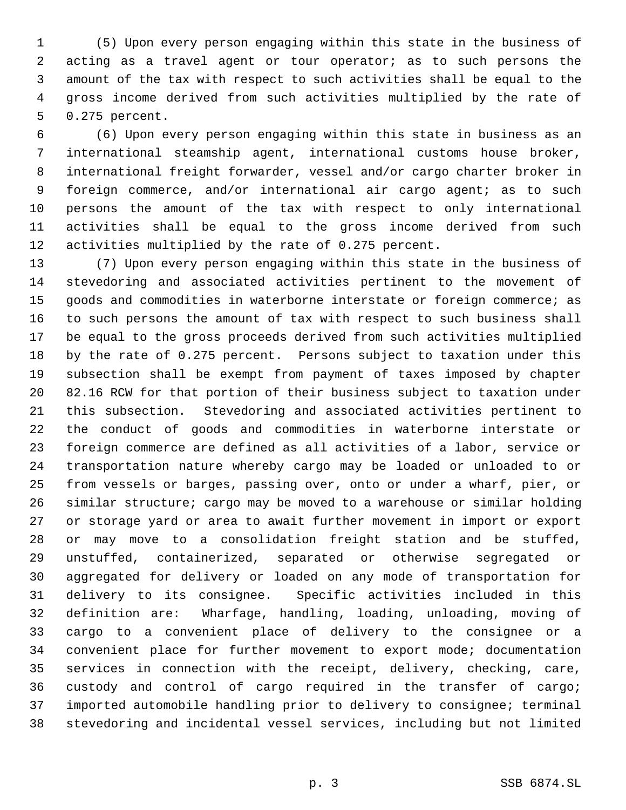(5) Upon every person engaging within this state in the business of acting as a travel agent or tour operator; as to such persons the amount of the tax with respect to such activities shall be equal to the gross income derived from such activities multiplied by the rate of 0.275 percent.

 (6) Upon every person engaging within this state in business as an international steamship agent, international customs house broker, international freight forwarder, vessel and/or cargo charter broker in foreign commerce, and/or international air cargo agent; as to such persons the amount of the tax with respect to only international activities shall be equal to the gross income derived from such activities multiplied by the rate of 0.275 percent.

 (7) Upon every person engaging within this state in the business of stevedoring and associated activities pertinent to the movement of goods and commodities in waterborne interstate or foreign commerce; as to such persons the amount of tax with respect to such business shall be equal to the gross proceeds derived from such activities multiplied by the rate of 0.275 percent. Persons subject to taxation under this subsection shall be exempt from payment of taxes imposed by chapter 82.16 RCW for that portion of their business subject to taxation under this subsection. Stevedoring and associated activities pertinent to the conduct of goods and commodities in waterborne interstate or foreign commerce are defined as all activities of a labor, service or transportation nature whereby cargo may be loaded or unloaded to or from vessels or barges, passing over, onto or under a wharf, pier, or similar structure; cargo may be moved to a warehouse or similar holding or storage yard or area to await further movement in import or export or may move to a consolidation freight station and be stuffed, unstuffed, containerized, separated or otherwise segregated or aggregated for delivery or loaded on any mode of transportation for delivery to its consignee. Specific activities included in this definition are: Wharfage, handling, loading, unloading, moving of cargo to a convenient place of delivery to the consignee or a convenient place for further movement to export mode; documentation services in connection with the receipt, delivery, checking, care, custody and control of cargo required in the transfer of cargo; imported automobile handling prior to delivery to consignee; terminal stevedoring and incidental vessel services, including but not limited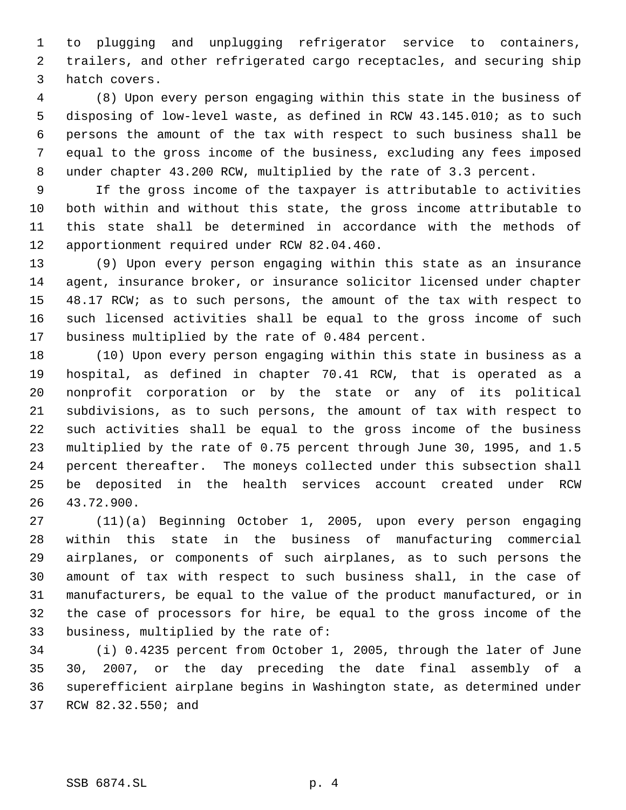to plugging and unplugging refrigerator service to containers, trailers, and other refrigerated cargo receptacles, and securing ship hatch covers.

 (8) Upon every person engaging within this state in the business of disposing of low-level waste, as defined in RCW 43.145.010; as to such persons the amount of the tax with respect to such business shall be equal to the gross income of the business, excluding any fees imposed under chapter 43.200 RCW, multiplied by the rate of 3.3 percent.

 If the gross income of the taxpayer is attributable to activities both within and without this state, the gross income attributable to this state shall be determined in accordance with the methods of apportionment required under RCW 82.04.460.

 (9) Upon every person engaging within this state as an insurance agent, insurance broker, or insurance solicitor licensed under chapter 48.17 RCW; as to such persons, the amount of the tax with respect to such licensed activities shall be equal to the gross income of such business multiplied by the rate of 0.484 percent.

 (10) Upon every person engaging within this state in business as a hospital, as defined in chapter 70.41 RCW, that is operated as a nonprofit corporation or by the state or any of its political subdivisions, as to such persons, the amount of tax with respect to such activities shall be equal to the gross income of the business multiplied by the rate of 0.75 percent through June 30, 1995, and 1.5 percent thereafter. The moneys collected under this subsection shall be deposited in the health services account created under RCW 43.72.900.

 (11)(a) Beginning October 1, 2005, upon every person engaging within this state in the business of manufacturing commercial airplanes, or components of such airplanes, as to such persons the amount of tax with respect to such business shall, in the case of manufacturers, be equal to the value of the product manufactured, or in the case of processors for hire, be equal to the gross income of the business, multiplied by the rate of:

 (i) 0.4235 percent from October 1, 2005, through the later of June 30, 2007, or the day preceding the date final assembly of a superefficient airplane begins in Washington state, as determined under RCW 82.32.550; and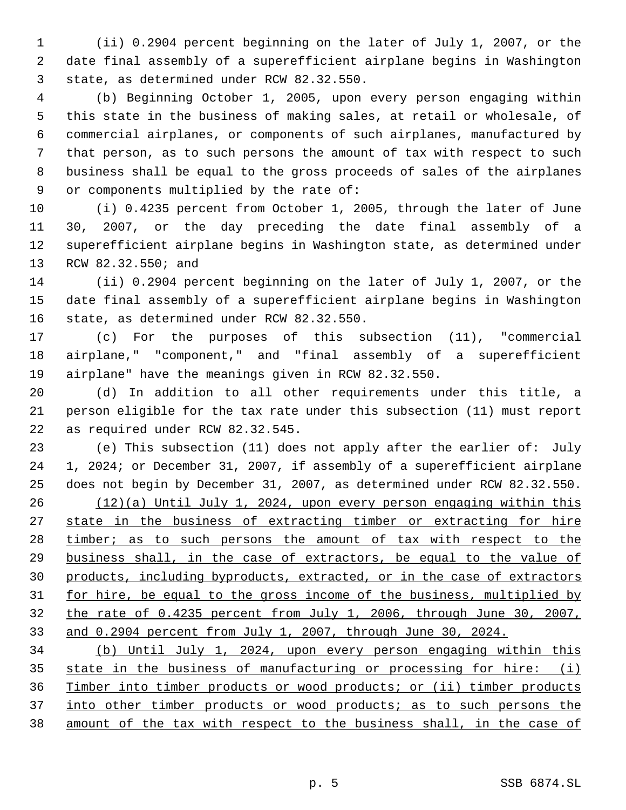(ii) 0.2904 percent beginning on the later of July 1, 2007, or the date final assembly of a superefficient airplane begins in Washington state, as determined under RCW 82.32.550.

 (b) Beginning October 1, 2005, upon every person engaging within this state in the business of making sales, at retail or wholesale, of commercial airplanes, or components of such airplanes, manufactured by that person, as to such persons the amount of tax with respect to such business shall be equal to the gross proceeds of sales of the airplanes or components multiplied by the rate of:

 (i) 0.4235 percent from October 1, 2005, through the later of June 30, 2007, or the day preceding the date final assembly of a superefficient airplane begins in Washington state, as determined under RCW 82.32.550; and

 (ii) 0.2904 percent beginning on the later of July 1, 2007, or the date final assembly of a superefficient airplane begins in Washington state, as determined under RCW 82.32.550.

 (c) For the purposes of this subsection (11), "commercial airplane," "component," and "final assembly of a superefficient airplane" have the meanings given in RCW 82.32.550.

 (d) In addition to all other requirements under this title, a person eligible for the tax rate under this subsection (11) must report as required under RCW 82.32.545.

 (e) This subsection (11) does not apply after the earlier of: July 1, 2024; or December 31, 2007, if assembly of a superefficient airplane does not begin by December 31, 2007, as determined under RCW 82.32.550. (12)(a) Until July 1, 2024, upon every person engaging within this 27 state in the business of extracting timber or extracting for hire 28 timber; as to such persons the amount of tax with respect to the business shall, in the case of extractors, be equal to the value of products, including byproducts, extracted, or in the case of extractors 31 for hire, be equal to the gross income of the business, multiplied by the rate of 0.4235 percent from July 1, 2006, through June 30, 2007, and 0.2904 percent from July 1, 2007, through June 30, 2024.

 (b) Until July 1, 2024, upon every person engaging within this 35 state in the business of manufacturing or processing for hire: (i) Timber into timber products or wood products; or (ii) timber products 37 into other timber products or wood products; as to such persons the amount of the tax with respect to the business shall, in the case of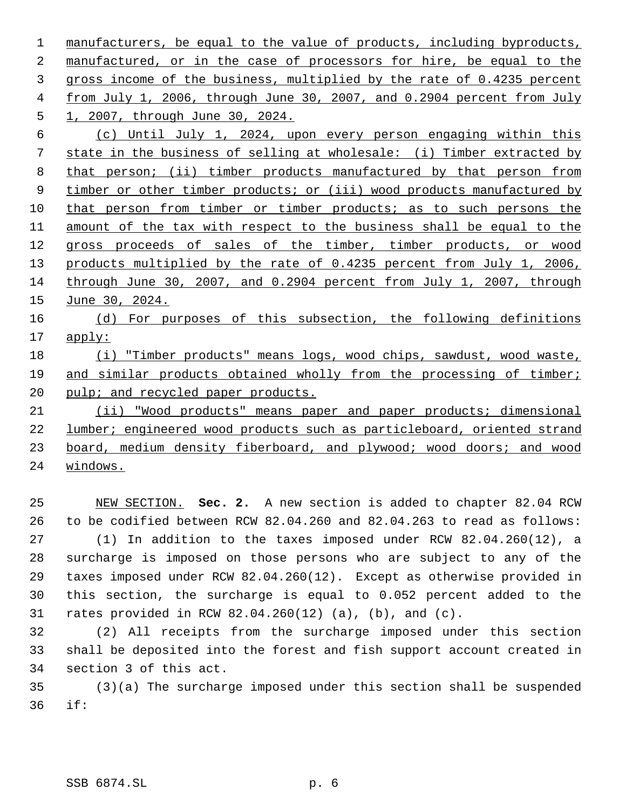manufacturers, be equal to the value of products, including byproducts, 2 manufactured, or in the case of processors for hire, be equal to the gross income of the business, multiplied by the rate of 0.4235 percent from July 1, 2006, through June 30, 2007, and 0.2904 percent from July 1, 2007, through June 30, 2024. (c) Until July 1, 2024, upon every person engaging within this state in the business of selling at wholesale: (i) Timber extracted by

8 that person; (ii) timber products manufactured by that person from 9 timber or other timber products; or (iii) wood products manufactured by that person from timber or timber products; as to such persons the amount of the tax with respect to the business shall be equal to the gross proceeds of sales of the timber, timber products, or wood products multiplied by the rate of 0.4235 percent from July 1, 2006, through June 30, 2007, and 0.2904 percent from July 1, 2007, through June 30, 2024.

 (d) For purposes of this subsection, the following definitions apply:

# 18 (i) "Timber products" means logs, wood chips, sawdust, wood waste, 19 and similar products obtained wholly from the processing of timber; 20 pulp; and recycled paper products.

 (ii) "Wood products" means paper and paper products; dimensional lumber; engineered wood products such as particleboard, oriented strand board, medium density fiberboard, and plywood; wood doors; and wood windows.

 NEW SECTION. **Sec. 2.** A new section is added to chapter 82.04 RCW to be codified between RCW 82.04.260 and 82.04.263 to read as follows: (1) In addition to the taxes imposed under RCW 82.04.260(12), a surcharge is imposed on those persons who are subject to any of the taxes imposed under RCW 82.04.260(12). Except as otherwise provided in this section, the surcharge is equal to 0.052 percent added to the rates provided in RCW 82.04.260(12) (a), (b), and (c).

 (2) All receipts from the surcharge imposed under this section shall be deposited into the forest and fish support account created in section 3 of this act.

 (3)(a) The surcharge imposed under this section shall be suspended if: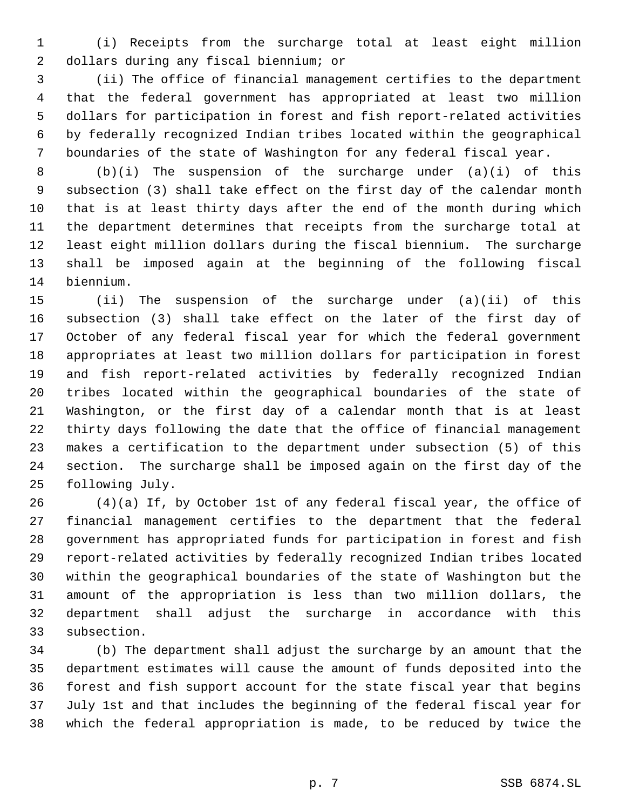(i) Receipts from the surcharge total at least eight million dollars during any fiscal biennium; or

 (ii) The office of financial management certifies to the department that the federal government has appropriated at least two million dollars for participation in forest and fish report-related activities by federally recognized Indian tribes located within the geographical boundaries of the state of Washington for any federal fiscal year.

 (b)(i) The suspension of the surcharge under (a)(i) of this subsection (3) shall take effect on the first day of the calendar month that is at least thirty days after the end of the month during which the department determines that receipts from the surcharge total at least eight million dollars during the fiscal biennium. The surcharge shall be imposed again at the beginning of the following fiscal biennium.

 (ii) The suspension of the surcharge under (a)(ii) of this subsection (3) shall take effect on the later of the first day of October of any federal fiscal year for which the federal government appropriates at least two million dollars for participation in forest and fish report-related activities by federally recognized Indian tribes located within the geographical boundaries of the state of Washington, or the first day of a calendar month that is at least thirty days following the date that the office of financial management makes a certification to the department under subsection (5) of this section. The surcharge shall be imposed again on the first day of the following July.

 (4)(a) If, by October 1st of any federal fiscal year, the office of financial management certifies to the department that the federal government has appropriated funds for participation in forest and fish report-related activities by federally recognized Indian tribes located within the geographical boundaries of the state of Washington but the amount of the appropriation is less than two million dollars, the department shall adjust the surcharge in accordance with this subsection.

 (b) The department shall adjust the surcharge by an amount that the department estimates will cause the amount of funds deposited into the forest and fish support account for the state fiscal year that begins July 1st and that includes the beginning of the federal fiscal year for which the federal appropriation is made, to be reduced by twice the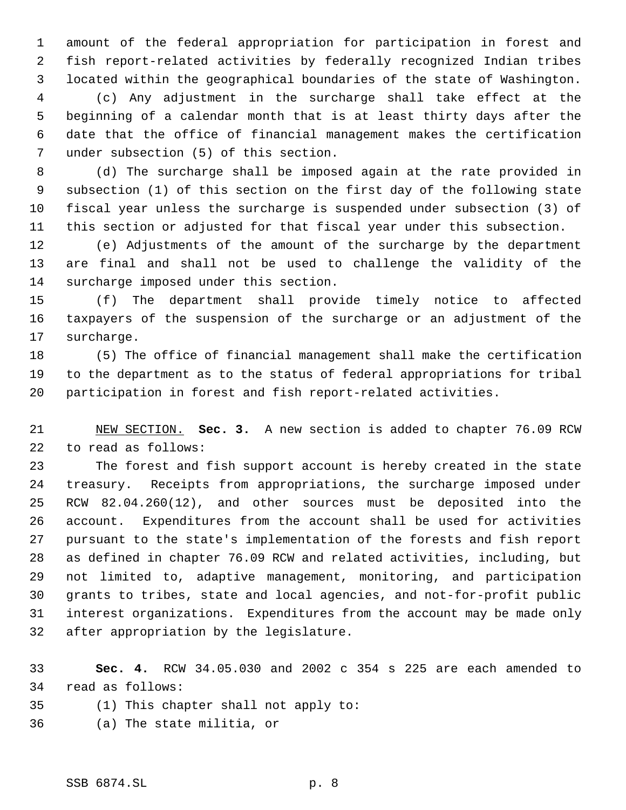amount of the federal appropriation for participation in forest and fish report-related activities by federally recognized Indian tribes located within the geographical boundaries of the state of Washington. (c) Any adjustment in the surcharge shall take effect at the beginning of a calendar month that is at least thirty days after the date that the office of financial management makes the certification under subsection (5) of this section.

 (d) The surcharge shall be imposed again at the rate provided in subsection (1) of this section on the first day of the following state fiscal year unless the surcharge is suspended under subsection (3) of this section or adjusted for that fiscal year under this subsection.

 (e) Adjustments of the amount of the surcharge by the department are final and shall not be used to challenge the validity of the surcharge imposed under this section.

 (f) The department shall provide timely notice to affected taxpayers of the suspension of the surcharge or an adjustment of the surcharge.

 (5) The office of financial management shall make the certification to the department as to the status of federal appropriations for tribal participation in forest and fish report-related activities.

 NEW SECTION. **Sec. 3.** A new section is added to chapter 76.09 RCW to read as follows:

 The forest and fish support account is hereby created in the state treasury. Receipts from appropriations, the surcharge imposed under RCW 82.04.260(12), and other sources must be deposited into the account. Expenditures from the account shall be used for activities pursuant to the state's implementation of the forests and fish report as defined in chapter 76.09 RCW and related activities, including, but not limited to, adaptive management, monitoring, and participation grants to tribes, state and local agencies, and not-for-profit public interest organizations. Expenditures from the account may be made only after appropriation by the legislature.

 **Sec. 4.** RCW 34.05.030 and 2002 c 354 s 225 are each amended to read as follows:

- (1) This chapter shall not apply to:
- (a) The state militia, or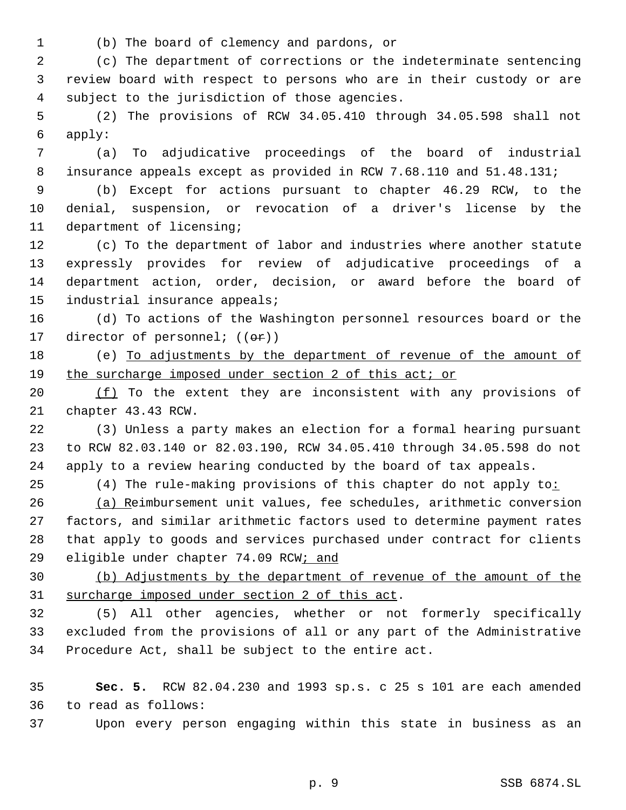(b) The board of clemency and pardons, or

 (c) The department of corrections or the indeterminate sentencing review board with respect to persons who are in their custody or are subject to the jurisdiction of those agencies.

 (2) The provisions of RCW 34.05.410 through 34.05.598 shall not apply:

 (a) To adjudicative proceedings of the board of industrial insurance appeals except as provided in RCW 7.68.110 and 51.48.131;

 (b) Except for actions pursuant to chapter 46.29 RCW, to the denial, suspension, or revocation of a driver's license by the department of licensing;

 (c) To the department of labor and industries where another statute expressly provides for review of adjudicative proceedings of a department action, order, decision, or award before the board of industrial insurance appeals;

 (d) To actions of the Washington personnel resources board or the 17 director of personnel;  $((\theta \cdot \mathbf{r}))$ 

 (e) To adjustments by the department of revenue of the amount of the surcharge imposed under section 2 of this act; or

 $(f)$  To the extent they are inconsistent with any provisions of chapter 43.43 RCW.

 (3) Unless a party makes an election for a formal hearing pursuant to RCW 82.03.140 or 82.03.190, RCW 34.05.410 through 34.05.598 do not apply to a review hearing conducted by the board of tax appeals.

25 (4) The rule-making provisions of this chapter do not apply to:

 (a) Reimbursement unit values, fee schedules, arithmetic conversion factors, and similar arithmetic factors used to determine payment rates that apply to goods and services purchased under contract for clients 29 eligible under chapter 74.09 RCW; and

 (b) Adjustments by the department of revenue of the amount of the surcharge imposed under section 2 of this act.

 (5) All other agencies, whether or not formerly specifically excluded from the provisions of all or any part of the Administrative Procedure Act, shall be subject to the entire act.

 **Sec. 5.** RCW 82.04.230 and 1993 sp.s. c 25 s 101 are each amended to read as follows:

Upon every person engaging within this state in business as an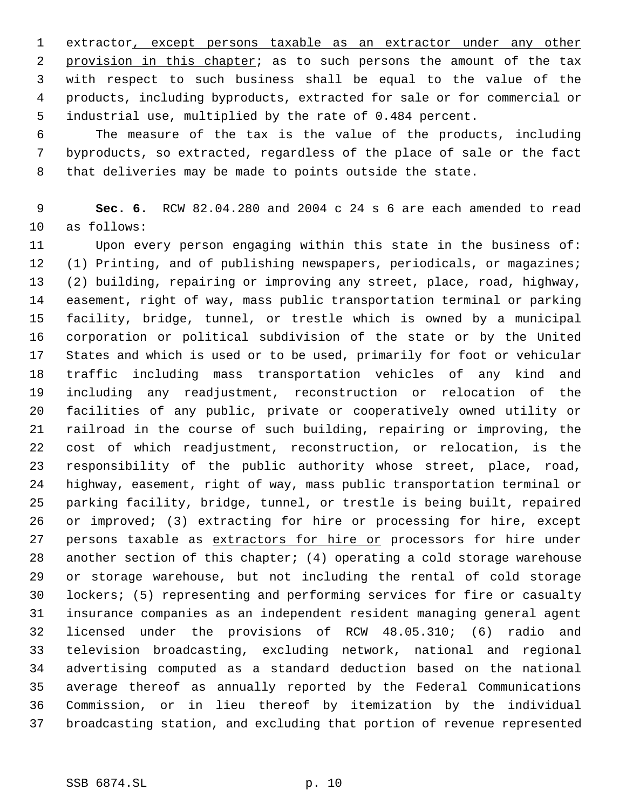extractor, except persons taxable as an extractor under any other 2 provision in this chapter; as to such persons the amount of the tax with respect to such business shall be equal to the value of the products, including byproducts, extracted for sale or for commercial or industrial use, multiplied by the rate of 0.484 percent.

 The measure of the tax is the value of the products, including byproducts, so extracted, regardless of the place of sale or the fact that deliveries may be made to points outside the state.

 **Sec. 6.** RCW 82.04.280 and 2004 c 24 s 6 are each amended to read as follows:

 Upon every person engaging within this state in the business of: (1) Printing, and of publishing newspapers, periodicals, or magazines; (2) building, repairing or improving any street, place, road, highway, easement, right of way, mass public transportation terminal or parking facility, bridge, tunnel, or trestle which is owned by a municipal corporation or political subdivision of the state or by the United States and which is used or to be used, primarily for foot or vehicular traffic including mass transportation vehicles of any kind and including any readjustment, reconstruction or relocation of the facilities of any public, private or cooperatively owned utility or railroad in the course of such building, repairing or improving, the cost of which readjustment, reconstruction, or relocation, is the responsibility of the public authority whose street, place, road, highway, easement, right of way, mass public transportation terminal or parking facility, bridge, tunnel, or trestle is being built, repaired or improved; (3) extracting for hire or processing for hire, except 27 persons taxable as extractors for hire or processors for hire under another section of this chapter; (4) operating a cold storage warehouse or storage warehouse, but not including the rental of cold storage lockers; (5) representing and performing services for fire or casualty insurance companies as an independent resident managing general agent licensed under the provisions of RCW 48.05.310; (6) radio and television broadcasting, excluding network, national and regional advertising computed as a standard deduction based on the national average thereof as annually reported by the Federal Communications Commission, or in lieu thereof by itemization by the individual broadcasting station, and excluding that portion of revenue represented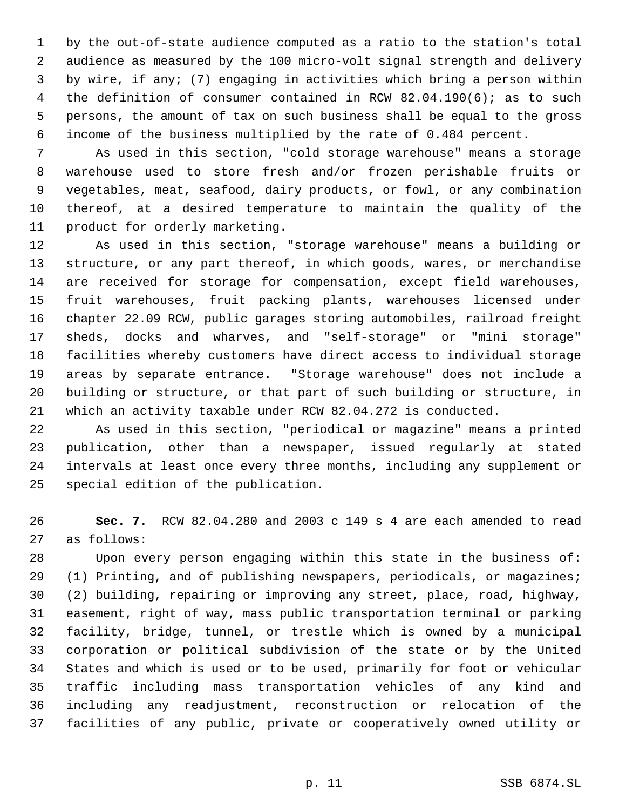by the out-of-state audience computed as a ratio to the station's total audience as measured by the 100 micro-volt signal strength and delivery by wire, if any; (7) engaging in activities which bring a person within the definition of consumer contained in RCW 82.04.190(6); as to such persons, the amount of tax on such business shall be equal to the gross income of the business multiplied by the rate of 0.484 percent.

 As used in this section, "cold storage warehouse" means a storage warehouse used to store fresh and/or frozen perishable fruits or vegetables, meat, seafood, dairy products, or fowl, or any combination thereof, at a desired temperature to maintain the quality of the product for orderly marketing.

 As used in this section, "storage warehouse" means a building or structure, or any part thereof, in which goods, wares, or merchandise are received for storage for compensation, except field warehouses, fruit warehouses, fruit packing plants, warehouses licensed under chapter 22.09 RCW, public garages storing automobiles, railroad freight sheds, docks and wharves, and "self-storage" or "mini storage" facilities whereby customers have direct access to individual storage areas by separate entrance. "Storage warehouse" does not include a building or structure, or that part of such building or structure, in which an activity taxable under RCW 82.04.272 is conducted.

 As used in this section, "periodical or magazine" means a printed publication, other than a newspaper, issued regularly at stated intervals at least once every three months, including any supplement or special edition of the publication.

 **Sec. 7.** RCW 82.04.280 and 2003 c 149 s 4 are each amended to read as follows:

 Upon every person engaging within this state in the business of: (1) Printing, and of publishing newspapers, periodicals, or magazines; (2) building, repairing or improving any street, place, road, highway, easement, right of way, mass public transportation terminal or parking facility, bridge, tunnel, or trestle which is owned by a municipal corporation or political subdivision of the state or by the United States and which is used or to be used, primarily for foot or vehicular traffic including mass transportation vehicles of any kind and including any readjustment, reconstruction or relocation of the facilities of any public, private or cooperatively owned utility or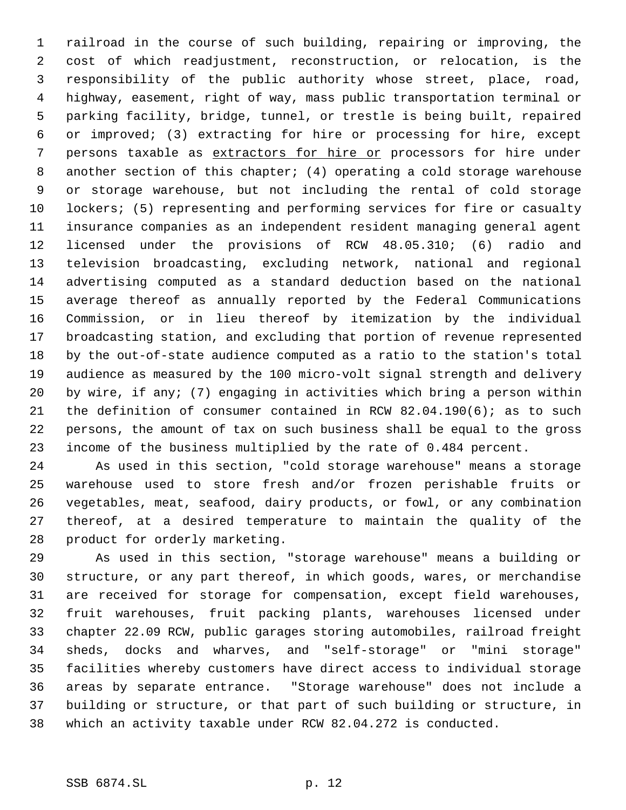railroad in the course of such building, repairing or improving, the cost of which readjustment, reconstruction, or relocation, is the responsibility of the public authority whose street, place, road, highway, easement, right of way, mass public transportation terminal or parking facility, bridge, tunnel, or trestle is being built, repaired or improved; (3) extracting for hire or processing for hire, except persons taxable as extractors for hire or processors for hire under another section of this chapter; (4) operating a cold storage warehouse or storage warehouse, but not including the rental of cold storage lockers; (5) representing and performing services for fire or casualty insurance companies as an independent resident managing general agent licensed under the provisions of RCW 48.05.310; (6) radio and television broadcasting, excluding network, national and regional advertising computed as a standard deduction based on the national average thereof as annually reported by the Federal Communications Commission, or in lieu thereof by itemization by the individual broadcasting station, and excluding that portion of revenue represented by the out-of-state audience computed as a ratio to the station's total audience as measured by the 100 micro-volt signal strength and delivery by wire, if any; (7) engaging in activities which bring a person within the definition of consumer contained in RCW 82.04.190(6); as to such persons, the amount of tax on such business shall be equal to the gross income of the business multiplied by the rate of 0.484 percent.

 As used in this section, "cold storage warehouse" means a storage warehouse used to store fresh and/or frozen perishable fruits or vegetables, meat, seafood, dairy products, or fowl, or any combination thereof, at a desired temperature to maintain the quality of the product for orderly marketing.

 As used in this section, "storage warehouse" means a building or structure, or any part thereof, in which goods, wares, or merchandise are received for storage for compensation, except field warehouses, fruit warehouses, fruit packing plants, warehouses licensed under chapter 22.09 RCW, public garages storing automobiles, railroad freight sheds, docks and wharves, and "self-storage" or "mini storage" facilities whereby customers have direct access to individual storage areas by separate entrance. "Storage warehouse" does not include a building or structure, or that part of such building or structure, in which an activity taxable under RCW 82.04.272 is conducted.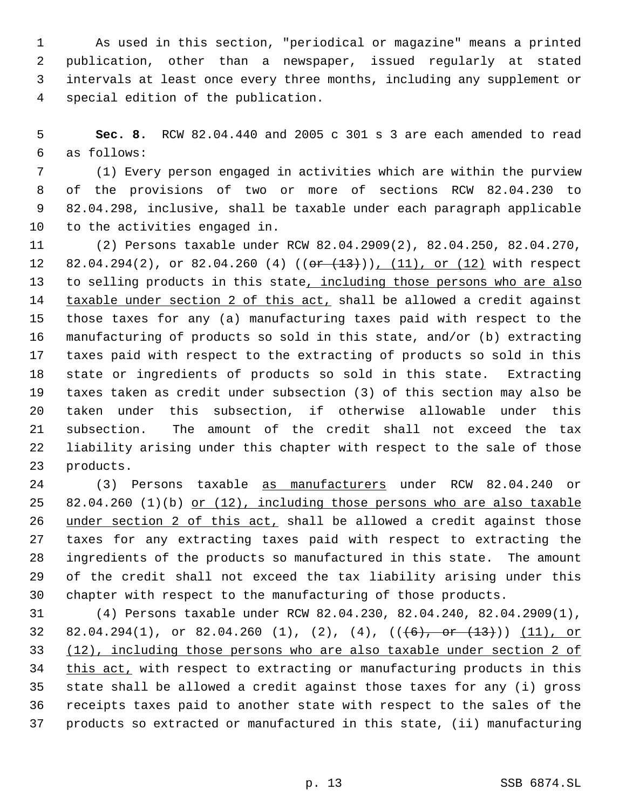As used in this section, "periodical or magazine" means a printed publication, other than a newspaper, issued regularly at stated intervals at least once every three months, including any supplement or special edition of the publication.

 **Sec. 8.** RCW 82.04.440 and 2005 c 301 s 3 are each amended to read as follows:

 (1) Every person engaged in activities which are within the purview of the provisions of two or more of sections RCW 82.04.230 to 82.04.298, inclusive, shall be taxable under each paragraph applicable to the activities engaged in.

 (2) Persons taxable under RCW 82.04.2909(2), 82.04.250, 82.04.270, 12 82.04.294(2), or 82.04.260 (4) ((or (13))), (11), or (12) with respect to selling products in this state, including those persons who are also 14 taxable under section 2 of this act, shall be allowed a credit against those taxes for any (a) manufacturing taxes paid with respect to the manufacturing of products so sold in this state, and/or (b) extracting taxes paid with respect to the extracting of products so sold in this state or ingredients of products so sold in this state. Extracting taxes taken as credit under subsection (3) of this section may also be taken under this subsection, if otherwise allowable under this subsection. The amount of the credit shall not exceed the tax liability arising under this chapter with respect to the sale of those products.

 (3) Persons taxable as manufacturers under RCW 82.04.240 or 25 82.04.260 (1)(b) or (12), including those persons who are also taxable 26 under section 2 of this act, shall be allowed a credit against those taxes for any extracting taxes paid with respect to extracting the ingredients of the products so manufactured in this state. The amount of the credit shall not exceed the tax liability arising under this chapter with respect to the manufacturing of those products.

 (4) Persons taxable under RCW 82.04.230, 82.04.240, 82.04.2909(1), 32 82.04.294(1), or 82.04.260 (1), (2), (4),  $((+6)$ , or  $(+3)$ )) (11), or (12), including those persons who are also taxable under section 2 of 34 this act, with respect to extracting or manufacturing products in this state shall be allowed a credit against those taxes for any (i) gross receipts taxes paid to another state with respect to the sales of the products so extracted or manufactured in this state, (ii) manufacturing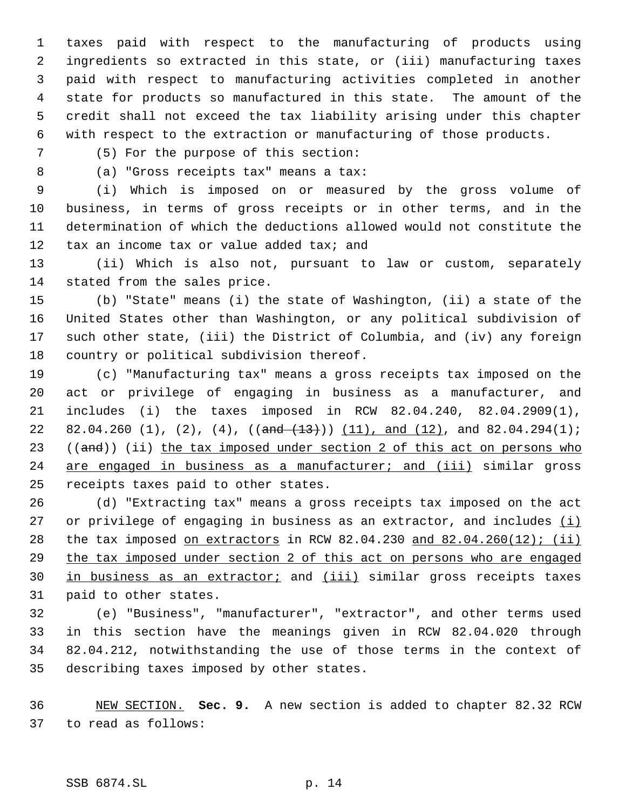taxes paid with respect to the manufacturing of products using ingredients so extracted in this state, or (iii) manufacturing taxes paid with respect to manufacturing activities completed in another state for products so manufactured in this state. The amount of the credit shall not exceed the tax liability arising under this chapter with respect to the extraction or manufacturing of those products.

(5) For the purpose of this section:

(a) "Gross receipts tax" means a tax:

 (i) Which is imposed on or measured by the gross volume of business, in terms of gross receipts or in other terms, and in the determination of which the deductions allowed would not constitute the 12 tax an income tax or value added tax; and

 (ii) Which is also not, pursuant to law or custom, separately stated from the sales price.

 (b) "State" means (i) the state of Washington, (ii) a state of the United States other than Washington, or any political subdivision of such other state, (iii) the District of Columbia, and (iv) any foreign country or political subdivision thereof.

 (c) "Manufacturing tax" means a gross receipts tax imposed on the act or privilege of engaging in business as a manufacturer, and includes (i) the taxes imposed in RCW 82.04.240, 82.04.2909(1), 22 82.04.260 (1), (2), (4),  $(\text{and } (13))$  (11), and (12), and 82.04.294(1); 23 ((and)) (ii) the tax imposed under section 2 of this act on persons who 24 are engaged in business as a manufacturer; and (iii) similar gross receipts taxes paid to other states.

 (d) "Extracting tax" means a gross receipts tax imposed on the act 27 or privilege of engaging in business as an extractor, and includes  $(i)$ 28 the tax imposed on extractors in RCW 82.04.230 and 82.04.260(12); (ii) the tax imposed under section 2 of this act on persons who are engaged 30 in business as an extractor; and (iii) similar gross receipts taxes paid to other states.

 (e) "Business", "manufacturer", "extractor", and other terms used in this section have the meanings given in RCW 82.04.020 through 82.04.212, notwithstanding the use of those terms in the context of describing taxes imposed by other states.

 NEW SECTION. **Sec. 9.** A new section is added to chapter 82.32 RCW to read as follows: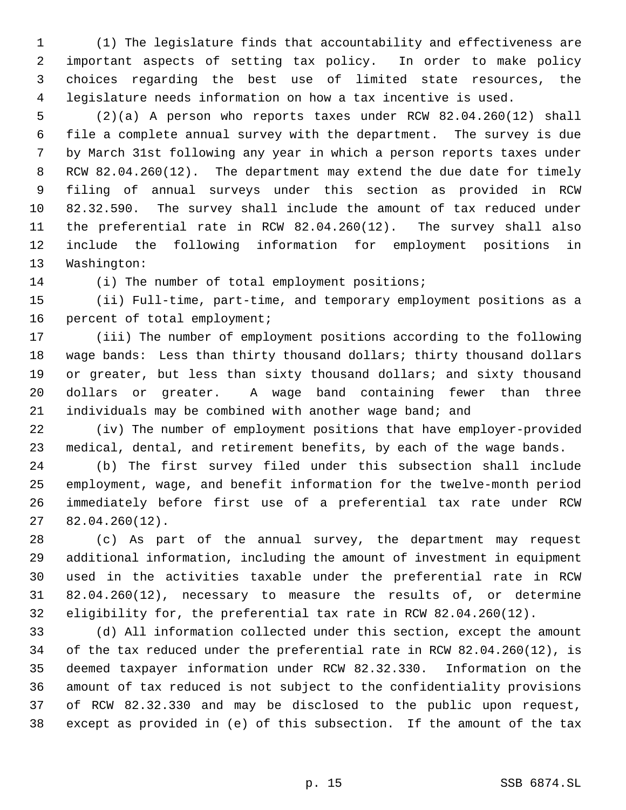(1) The legislature finds that accountability and effectiveness are important aspects of setting tax policy. In order to make policy choices regarding the best use of limited state resources, the legislature needs information on how a tax incentive is used.

 (2)(a) A person who reports taxes under RCW 82.04.260(12) shall file a complete annual survey with the department. The survey is due by March 31st following any year in which a person reports taxes under RCW 82.04.260(12). The department may extend the due date for timely filing of annual surveys under this section as provided in RCW 82.32.590. The survey shall include the amount of tax reduced under the preferential rate in RCW 82.04.260(12). The survey shall also include the following information for employment positions in Washington:

(i) The number of total employment positions;

 (ii) Full-time, part-time, and temporary employment positions as a percent of total employment;

 (iii) The number of employment positions according to the following wage bands: Less than thirty thousand dollars; thirty thousand dollars or greater, but less than sixty thousand dollars; and sixty thousand dollars or greater. A wage band containing fewer than three individuals may be combined with another wage band; and

 (iv) The number of employment positions that have employer-provided medical, dental, and retirement benefits, by each of the wage bands.

 (b) The first survey filed under this subsection shall include employment, wage, and benefit information for the twelve-month period immediately before first use of a preferential tax rate under RCW 82.04.260(12).

 (c) As part of the annual survey, the department may request additional information, including the amount of investment in equipment used in the activities taxable under the preferential rate in RCW 82.04.260(12), necessary to measure the results of, or determine eligibility for, the preferential tax rate in RCW 82.04.260(12).

 (d) All information collected under this section, except the amount of the tax reduced under the preferential rate in RCW 82.04.260(12), is deemed taxpayer information under RCW 82.32.330. Information on the amount of tax reduced is not subject to the confidentiality provisions of RCW 82.32.330 and may be disclosed to the public upon request, except as provided in (e) of this subsection. If the amount of the tax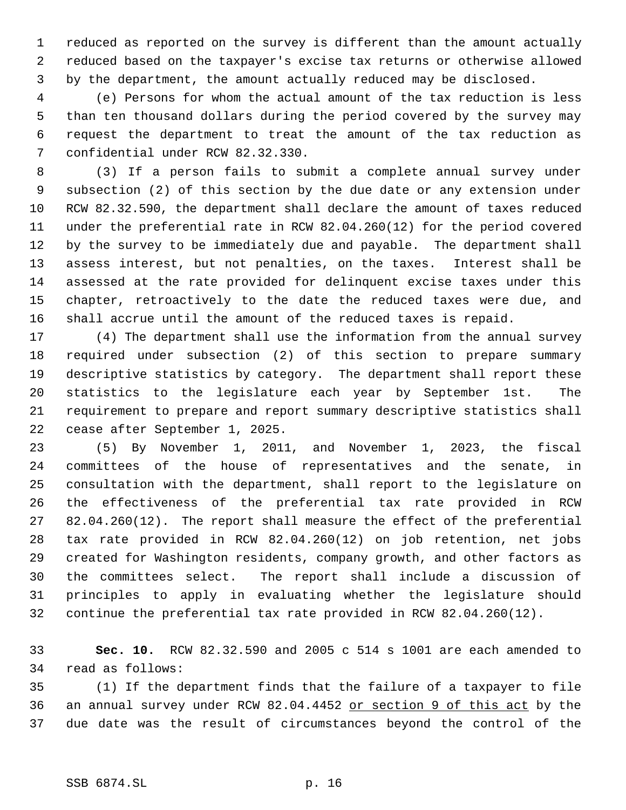reduced as reported on the survey is different than the amount actually reduced based on the taxpayer's excise tax returns or otherwise allowed by the department, the amount actually reduced may be disclosed.

 (e) Persons for whom the actual amount of the tax reduction is less than ten thousand dollars during the period covered by the survey may request the department to treat the amount of the tax reduction as confidential under RCW 82.32.330.

 (3) If a person fails to submit a complete annual survey under subsection (2) of this section by the due date or any extension under RCW 82.32.590, the department shall declare the amount of taxes reduced under the preferential rate in RCW 82.04.260(12) for the period covered by the survey to be immediately due and payable. The department shall assess interest, but not penalties, on the taxes. Interest shall be assessed at the rate provided for delinquent excise taxes under this chapter, retroactively to the date the reduced taxes were due, and shall accrue until the amount of the reduced taxes is repaid.

 (4) The department shall use the information from the annual survey required under subsection (2) of this section to prepare summary descriptive statistics by category. The department shall report these statistics to the legislature each year by September 1st. The requirement to prepare and report summary descriptive statistics shall cease after September 1, 2025.

 (5) By November 1, 2011, and November 1, 2023, the fiscal committees of the house of representatives and the senate, in consultation with the department, shall report to the legislature on the effectiveness of the preferential tax rate provided in RCW 82.04.260(12). The report shall measure the effect of the preferential tax rate provided in RCW 82.04.260(12) on job retention, net jobs created for Washington residents, company growth, and other factors as the committees select. The report shall include a discussion of principles to apply in evaluating whether the legislature should continue the preferential tax rate provided in RCW 82.04.260(12).

 **Sec. 10.** RCW 82.32.590 and 2005 c 514 s 1001 are each amended to read as follows:

 (1) If the department finds that the failure of a taxpayer to file an annual survey under RCW 82.04.4452 or section 9 of this act by the due date was the result of circumstances beyond the control of the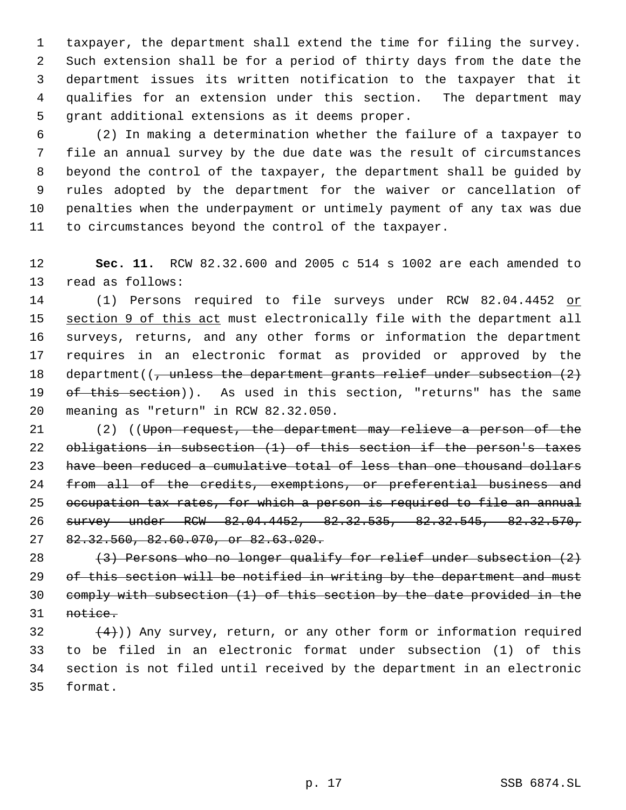taxpayer, the department shall extend the time for filing the survey. Such extension shall be for a period of thirty days from the date the department issues its written notification to the taxpayer that it qualifies for an extension under this section. The department may grant additional extensions as it deems proper.

 (2) In making a determination whether the failure of a taxpayer to file an annual survey by the due date was the result of circumstances beyond the control of the taxpayer, the department shall be guided by rules adopted by the department for the waiver or cancellation of penalties when the underpayment or untimely payment of any tax was due to circumstances beyond the control of the taxpayer.

 **Sec. 11.** RCW 82.32.600 and 2005 c 514 s 1002 are each amended to read as follows:

14 (1) Persons required to file surveys under RCW 82.04.4452 or 15 section 9 of this act must electronically file with the department all surveys, returns, and any other forms or information the department requires in an electronic format as provided or approved by the 18 department( $\left(\frac{1}{2}, \frac{1}{2}\right)$  department department for relief under subsection  $\left(2\right)$ 19 of this section)). As used in this section, "returns" has the same meaning as "return" in RCW 82.32.050.

 (2) ((Upon request, the department may relieve a person of the obligations in subsection (1) of this section if the person's taxes 23 have been reduced a cumulative total of less than one thousand dollars 24 from all of the credits, exemptions, or preferential business and occupation tax rates, for which a person is required to file an annual survey under RCW 82.04.4452, 82.32.535, 82.32.545, 82.32.570, 82.32.560, 82.60.070, or 82.63.020.

28  $(3)$  Persons who no longer qualify for relief under subsection  $(2)$ 29 of this section will be notified in writing by the department and must comply with subsection (1) of this section by the date provided in the notice.

 $(4)$ )) Any survey, return, or any other form or information required to be filed in an electronic format under subsection (1) of this section is not filed until received by the department in an electronic format.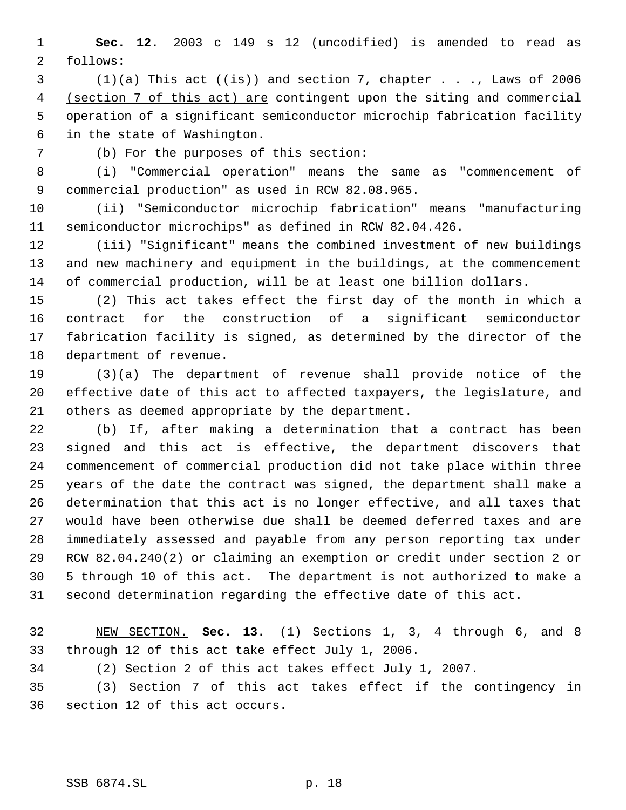**Sec. 12.** 2003 c 149 s 12 (uncodified) is amended to read as follows:

 $(1)(a)$  This act  $((\frac{1}{18}))$  and section 7, chapter . . ., Laws of 2006 4 (section 7 of this act) are contingent upon the siting and commercial operation of a significant semiconductor microchip fabrication facility in the state of Washington.

(b) For the purposes of this section:

 (i) "Commercial operation" means the same as "commencement of commercial production" as used in RCW 82.08.965.

 (ii) "Semiconductor microchip fabrication" means "manufacturing semiconductor microchips" as defined in RCW 82.04.426.

 (iii) "Significant" means the combined investment of new buildings and new machinery and equipment in the buildings, at the commencement of commercial production, will be at least one billion dollars.

 (2) This act takes effect the first day of the month in which a contract for the construction of a significant semiconductor fabrication facility is signed, as determined by the director of the department of revenue.

 (3)(a) The department of revenue shall provide notice of the effective date of this act to affected taxpayers, the legislature, and others as deemed appropriate by the department.

 (b) If, after making a determination that a contract has been signed and this act is effective, the department discovers that commencement of commercial production did not take place within three years of the date the contract was signed, the department shall make a determination that this act is no longer effective, and all taxes that would have been otherwise due shall be deemed deferred taxes and are immediately assessed and payable from any person reporting tax under RCW 82.04.240(2) or claiming an exemption or credit under section 2 or 5 through 10 of this act. The department is not authorized to make a second determination regarding the effective date of this act.

 NEW SECTION. **Sec. 13.** (1) Sections 1, 3, 4 through 6, and 8 through 12 of this act take effect July 1, 2006.

(2) Section 2 of this act takes effect July 1, 2007.

 (3) Section 7 of this act takes effect if the contingency in section 12 of this act occurs.